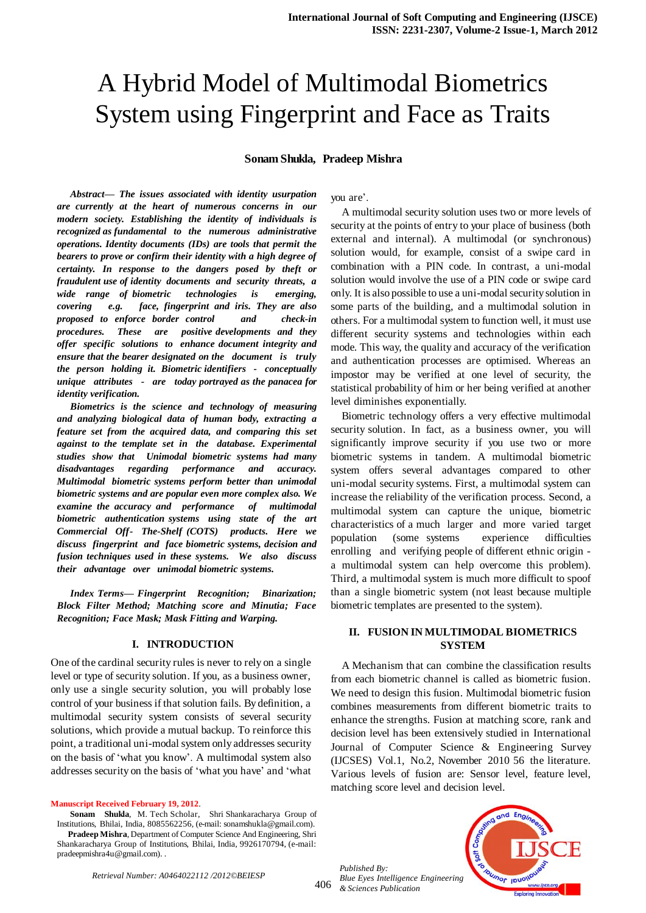# A Hybrid Model of Multimodal Biometrics System using Fingerprint and Face as Traits

# **Sonam Shukla, Pradeep Mishra**

*Abstract— The issues associated with identity usurpation are currently at the heart of numerous concerns in our modern society. Establishing the identity of individuals is recognized as fundamental to the numerous administrative operations. Identity documents (IDs) are tools that permit the bearers to prove or confirm their identity with a high degree of certainty. In response to the dangers posed by theft or fraudulent use of identity documents and security threats, a wide range of biometric technologies is emerging, covering e.g. face, fingerprint and iris. They are also proposed to enforce border control and check-in procedures. These are positive developments and they offer specific solutions to enhance document integrity and ensure that the bearer designated on the document is truly the person holding it. Biometric identifiers - conceptually unique attributes - are today portrayed as the panacea for identity verification.*

*Biometrics is the science and technology of measuring and analyzing biological data of human body, extracting a feature set from the acquired data, and comparing this set against to the template set in the database. Experimental studies show that Unimodal biometric systems had many disadvantages regarding performance and accuracy. Multimodal biometric systems perform better than unimodal biometric systems and are popular even more complex also. We examine the accuracy and performance of multimodal biometric authentication systems using state of the art Commercial Off- The-Shelf (COTS) products. Here we discuss fingerprint and face biometric systems, decision and fusion techniques used in these systems. We also discuss their advantage over unimodal biometric systems.*

*Index Terms— Fingerprint Recognition; Binarization; Block Filter Method; Matching score and Minutia; Face Recognition; Face Mask; Mask Fitting and Warping.*

#### **I. INTRODUCTION**

One of the cardinal security rules is never to rely on a single level or type of security solution. If you, as a business owner, only use a single security solution, you will probably lose control of your business if that solution fails. By definition, a multimodal security system consists of several security solutions, which provide a mutual backup. To reinforce this point, a traditional uni-modal system only addresses security on the basis of 'what you know'. A multimodal system also addresses security on the basis of 'what you have' and 'what

**Manuscript Received February 19, 2012**.

**Sonam Shukla**, M. Tech Scholar, Shri Shankaracharya Group of Institutions, Bhilai, India, 8085562256, (e-mail: [sonamshukla@gmail.com\)](mailto:sonamshukla@gmail.com). **Pradeep Mishra**, Department of Computer Science And Engineering, Shri Shankaracharya Group of Institutions, Bhilai, India, 9926170794, (e-mail: [pradeepmishra4u@gmail.com\)](mailto:pradeepmishra4u@gmail.com). .

you are'.

A multimodal security solution uses two or more levels of security at the points of entry to your place of business (both external and internal). A multimodal (or synchronous) solution would, for example, consist of a swipe card in combination with a PIN code. In contrast, a uni-modal solution would involve the use of a PIN code or swipe card only. It is also possible to use a uni-modal securitysolution in some parts of the building, and a multimodal solution in others. For a multimodal system to function well, it must use different security systems and technologies within each mode. This way, the quality and accuracy of the verification and authentication processes are optimised. Whereas an impostor may be verified at one level of security, the statistical probability of him or her being verified at another level diminishes exponentially.

Biometric technology offers a very effective multimodal security solution. In fact, as a business owner, you will significantly improve security if you use two or more biometric systems in tandem. A multimodal biometric system offers several advantages compared to other uni-modal security systems. First, a multimodal system can increase the reliability of the verification process. Second, a multimodal system can capture the unique, biometric characteristics of a much larger and more varied target population (some systems experience difficulties enrolling and verifying people of different ethnic origin a multimodal system can help overcome this problem). Third, a multimodal system is much more difficult to spoof than a single biometric system (not least because multiple biometric templates are presented to the system).

## **II. FUSION IN MULTIMODAL BIOMETRICS SYSTEM**

A Mechanism that can combine the classification results from each biometric channel is called as biometric fusion. We need to design this fusion. Multimodal biometric fusion combines measurements from different biometric traits to enhance the strengths. Fusion at matching score, rank and decision level has been extensively studied in International Journal of Computer Science & Engineering Survey (IJCSES) Vol.1, No.2, November 2010 56 the literature. Various levels of fusion are: Sensor level, feature level, matching score level and decision level.

406 *Published By: Blue Eyes Intelligence Engineering & Sciences Publication* 



*Retrieval Number: A0464022112 /2012©BEIESP*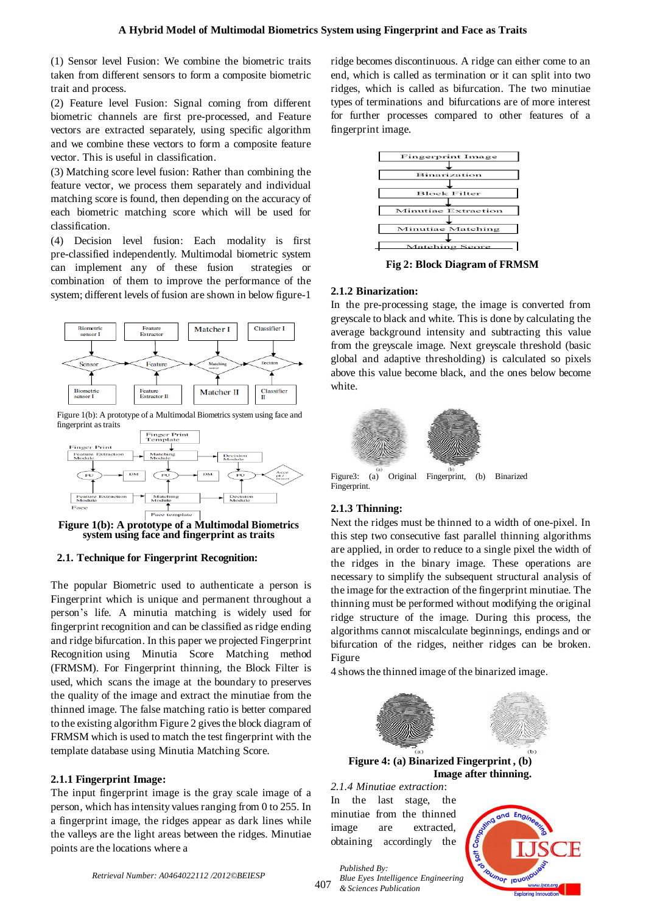(1) Sensor level Fusion: We combine the biometric traits taken from different sensors to form a composite biometric trait and process.

(2) Feature level Fusion: Signal coming from different biometric channels are first pre-processed, and Feature vectors are extracted separately, using specific algorithm and we combine these vectors to form a composite feature vector. This is useful in classification.

(3) Matching score level fusion: Rather than combining the feature vector, we process them separately and individual matching score is found, then depending on the accuracy of each biometric matching score which will be used for classification.

(4) Decision level fusion: Each modality is first pre-classified independently. Multimodal biometric system can implement any of these fusion strategies or combination of them to improve the performance of the system; different levels of fusion are shown in below figure-1



Figure 1(b): A prototype of a Multimodal Biometrics system using face and fingerprint as traits



**Figure 1(b): A prototype of a Multimodal Biometrics system using face and fingerprint as traits**

## **2.1. Technique for Fingerprint Recognition:**

The popular Biometric used to authenticate a person is Fingerprint which is unique and permanent throughout a person's life. A minutia matching is widely used for fingerprint recognition and can be classified as ridge ending and ridge bifurcation. In this paper we projected Fingerprint Recognition using Minutia Score Matching method (FRMSM). For Fingerprint thinning, the Block Filter is used, which scans the image at the boundary to preserves the quality of the image and extract the minutiae from the thinned image. The false matching ratio is better compared to the existing algorithm Figure 2 gives the block diagram of FRMSM which is used to match the test fingerprint with the template database using Minutia Matching Score.

## **2.1.1 Fingerprint Image:**

The input fingerprint image is the gray scale image of a person, which hasintensity values ranging from 0 to 255. In a fingerprint image, the ridges appear as dark lines while the valleys are the light areas between the ridges. Minutiae points are the locations where a

ridge becomes discontinuous. A ridge can either come to an end, which is called as termination or it can split into two ridges, which is called as bifurcation. The two minutiae types of terminations and bifurcations are of more interest for further processes compared to other features of a fingerprint image.



**Fig 2: Block Diagram of FRMSM**

### **2.1.2 Binarization:**

In the pre-processing stage, the image is converted from greyscale to black and white. This is done by calculating the average background intensity and subtracting this value from the greyscale image. Next greyscale threshold (basic global and adaptive thresholding) is calculated so pixels above this value become black, and the ones below become white.



Figure3: (a) Original Fingerprint, (b) Binarized **Fingerprint** 

## **2.1.3 Thinning:**

Next the ridges must be thinned to a width of one-pixel. In this step two consecutive fast parallel thinning algorithms are applied, in order to reduce to a single pixel the width of the ridges in the binary image. These operations are necessary to simplify the subsequent structural analysis of the image for the extraction of the fingerprint minutiae. The thinning must be performed without modifying the original ridge structure of the image. During this process, the algorithms cannot miscalculate beginnings, endings and or bifurcation of the ridges, neither ridges can be broken. Figure

4 showsthe thinned image of the binarized image.



**Figure 4: (a) Binarized Fingerprint , (b) Image after thinning.**

*2.1.4 Minutiae extraction*: In the last stage, the minutiae from the thinned image are extracted, obtaining accordingly the



*Retrieval Number: A0464022112 /2012©BEIESP*

407

*Blue Eyes Intelligence Engineering & Sciences Publication* 

*Published By:*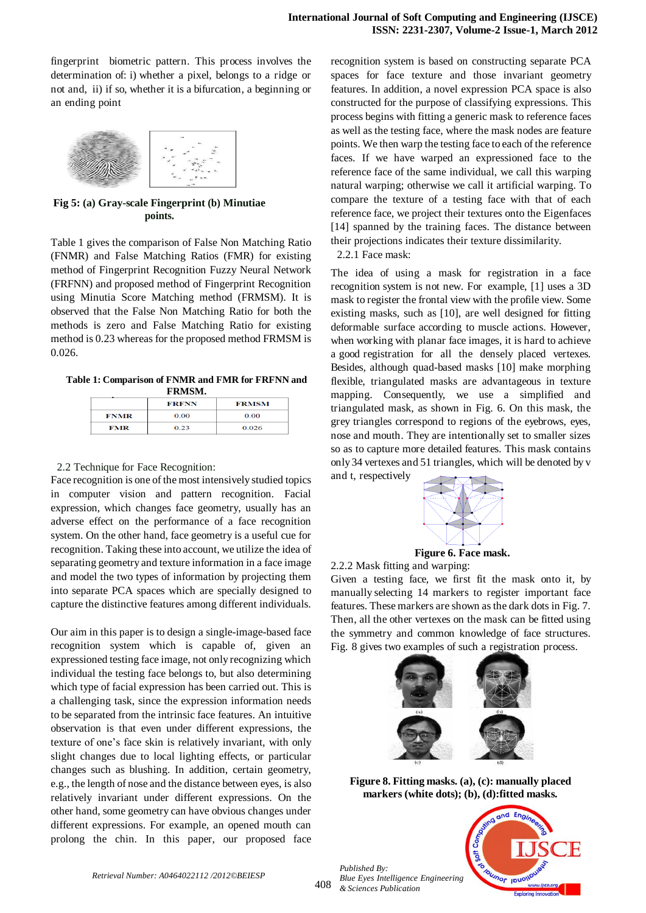fingerprint biometric pattern. This process involves the determination of: i) whether a pixel, belongs to a ridge or not and, ii) if so, whether it is a bifurcation, a beginning or an ending point



**Fig 5: (a) Gray-scale Fingerprint (b) Minutiae points.**

Table 1 gives the comparison of False Non Matching Ratio (FNMR) and False Matching Ratios (FMR) for existing method of Fingerprint Recognition Fuzzy Neural Network (FRFNN) and proposed method of Fingerprint Recognition using Minutia Score Matching method (FRMSM). It is observed that the False Non Matching Ratio for both the methods is zero and False Matching Ratio for existing method is 0.23 whereas for the proposed method FRMSM is 0.026.

**Table 1: Comparison of FNMR and FMR for FRFNN and FRMSM.**

|             | <b>FRFNN</b> | <b>FRMSM</b> |
|-------------|--------------|--------------|
| <b>FNMR</b> | 0.00         | 0.00         |
| FMR         | 0.23         | 0.026        |

### 2.2 Technique for Face Recognition:

Face recognition is one of the most intensively studied topics in computer vision and pattern recognition. Facial expression, which changes face geometry, usually has an adverse effect on the performance of a face recognition system. On the other hand, face geometry is a useful cue for recognition. Taking these into account, we utilize the idea of separating geometry and texture information in a face image and model the two types of information by projecting them into separate PCA spaces which are specially designed to capture the distinctive features among different individuals.

Our aim in this paper is to design a single-image-based face recognition system which is capable of, given an expressioned testing face image, not only recognizing which individual the testing face belongs to, but also determining which type of facial expression has been carried out. This is a challenging task, since the expression information needs to be separated from the intrinsic face features. An intuitive observation is that even under different expressions, the texture of one's face skin is relatively invariant, with only slight changes due to local lighting effects, or particular changes such as blushing. In addition, certain geometry, e.g., the length of nose and the distance between eyes, is also relatively invariant under different expressions. On the other hand, some geometry can have obvious changes under different expressions. For example, an opened mouth can prolong the chin. In this paper, our proposed face recognition system is based on constructing separate PCA spaces for face texture and those invariant geometry features. In addition, a novel expression PCA space is also constructed for the purpose of classifying expressions. This process begins with fitting a generic mask to reference faces as well as the testing face, where the mask nodes are feature points. We then warp the testing face to each of the reference faces. If we have warped an expressioned face to the reference face of the same individual, we call this warping natural warping; otherwise we call it artificial warping. To compare the texture of a testing face with that of each reference face, we project their textures onto the Eigenfaces [14] spanned by the training faces. The distance between their projections indicates their texture dissimilarity.

2.2.1 Face mask:

The idea of using a mask for registration in a face recognition system is not new. For example, [1] uses a 3D mask to register the frontal view with the profile view. Some existing masks, such as [10], are well designed for fitting deformable surface according to muscle actions. However, when working with planar face images, it is hard to achieve a good registration for all the densely placed vertexes. Besides, although quad-based masks [10] make morphing flexible, triangulated masks are advantageous in texture mapping. Consequently, we use a simplified and triangulated mask, as shown in Fig. 6. On this mask, the grey triangles correspond to regions of the eyebrows, eyes, nose and mouth. They are intentionally set to smaller sizes so as to capture more detailed features. This mask contains only34 vertexes and 51 triangles, which will be denoted by v and t, respectively



**Figure 6. Face mask.**

2.2.2 Mask fitting and warping:

Given a testing face, we first fit the mask onto it, by manually selecting 14 markers to register important face features. These markers are shown asthe dark dots in Fig. 7. Then, all the other vertexes on the mask can be fitted using the symmetry and common knowledge of face structures. Fig. 8 gives two examples of such a registration process.



**Figure 8. Fitting masks. (a), (c): manually placed markers (white dots); (b), (d):fitted masks.**

*Published By: Blue Eyes Intelligence Engineering & Sciences Publication* 

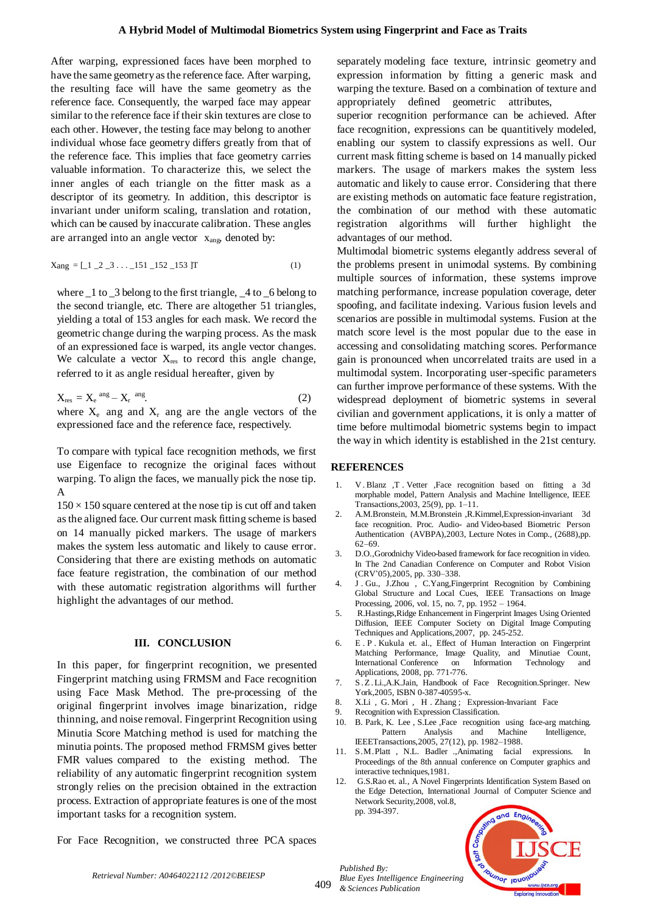After warping, expressioned faces have been morphed to have the same geometry as the reference face. After warping, the resulting face will have the same geometry as the reference face. Consequently, the warped face may appear similar to the reference face if their skin textures are close to each other. However, the testing face may belong to another individual whose face geometry differs greatly from that of the reference face. This implies that face geometry carries valuable information. To characterize this, we select the inner angles of each triangle on the fitter mask as a descriptor of its geometry. In addition, this descriptor is invariant under uniform scaling, translation and rotation, which can be caused by inaccurate calibration. These angles are arranged into an angle vector  $x_{\text{ang}}$ , denoted by:

$$
X_{\text{ang}} = [-1 \ 2 \ 3 \dots \ 151 \ 152 \ 153 \,]T \tag{1}
$$

where  $\frac{1}{1}$  to  $\frac{3}{2}$  belong to the first triangle,  $\frac{4}{10}$  to  $\frac{6}{2}$  belong to the second triangle, etc. There are altogether 51 triangles, yielding a total of 153 angles for each mask. We record the geometric change during the warping process. As the mask of an expressioned face is warped, its angle vector changes. We calculate a vector  $X_{res}$  to record this angle change, referred to it as angle residual hereafter, given by

$$
X_{\rm res} = X_{\rm e}^{\rm ang} - X_{\rm r}^{\rm ang}.\tag{2}
$$

where  $X_e$  ang and  $X_r$  ang are the angle vectors of the expressioned face and the reference face, respectively.

To compare with typical face recognition methods, we first use Eigenface to recognize the original faces without warping. To align the faces, we manually pick the nose tip. A

 $150 \times 150$  square centered at the nose tip is cut off and taken asthe aligned face. Our current mask fitting scheme is based on 14 manually picked markers. The usage of markers makes the system less automatic and likely to cause error. Considering that there are existing methods on automatic face feature registration, the combination of our method with these automatic registration algorithms will further highlight the advantages of our method.

### **III. CONCLUSION**

In this paper, for fingerprint recognition, we presented Fingerprint matching using FRMSM and Face recognition using Face Mask Method. The pre-processing of the original fingerprint involves image binarization, ridge thinning, and noise removal. Fingerprint Recognition using Minutia Score Matching method is used for matching the minutia points. The proposed method FRMSM gives better FMR values compared to the existing method. The reliability of any automatic fingerprint recognition system strongly relies on the precision obtained in the extraction process. Extraction of appropriate features is one of the most important tasks for a recognition system.

For Face Recognition, we constructed three PCA spaces

separately modeling face texture, intrinsic geometry and expression information by fitting a generic mask and warping the texture. Based on a combination of texture and appropriately defined geometric attributes, superior recognition performance can be achieved. After face recognition, expressions can be quantitively modeled, enabling our system to classify expressions as well. Our

current mask fitting scheme is based on 14 manually picked markers. The usage of markers makes the system less automatic and likely to cause error. Considering that there are existing methods on automatic face feature registration, the combination of our method with these automatic registration algorithms will further highlight the advantages of our method.

Multimodal biometric systems elegantly address several of the problems present in unimodal systems. By combining multiple sources of information, these systems improve matching performance, increase population coverage, deter spoofing, and facilitate indexing. Various fusion levels and scenarios are possible in multimodal systems. Fusion at the match score level is the most popular due to the ease in accessing and consolidating matching scores. Performance gain is pronounced when uncorrelated traits are used in a multimodal system. Incorporating user-specific parameters can further improve performance of these systems. With the widespread deployment of biometric systems in several civilian and government applications, it is only a matter of time before multimodal biometric systems begin to impact the way in which identity is established in the 21st century.

#### **REFERENCES**

- 1. V . Blanz ,T . Vetter ,Face recognition based on fitting a 3d morphable model, Pattern Analysis and Machine Intelligence, IEEE Transactions,2003, 25(9), pp. 1–11.
- 2. A.M.Bronstein, M.M.Bronstein ,R.Kimmel,Expression-invariant 3d face recognition. Proc. Audio- and Video-based Biometric Person Authentication (AVBPA),2003, Lecture Notes in Comp., (2688),pp. 62–69.
- 3. D.O.,Gorodnichy Video-based framework for face recognition in video. In The 2nd Canadian Conference on Computer and Robot Vision (CRV'05),2005, pp. 330–338.
- 4. J . Gu., J.Zhou , C.Yang,Fingerprint Recognition by Combining Global Structure and Local Cues, IEEE Transactions on Image Processing, 2006, vol. 15, no. 7, pp. 1952 – 1964.
- 5. R.Hastings,Ridge Enhancement in Fingerprint Images Using Oriented Diffusion, IEEE Computer Society on Digital Image Computing Techniques and Applications,2007, pp. 245-252.
- 6. E . P . Kukula et. al., Effect of Human Interaction on Fingerprint Matching Performance, Image Quality, and Minutiae Count, International Conference on Information Technology and Applications, 2008, pp. 771-776.
- 7. S.Z.Li.,A.K.Jain, Handbook of Face Recognition.Springer. New York,2005, ISBN 0-387-40595-x.
- 8. X.Li , G. Mori , H . Zhang ; Expression-Invariant Face
- 9. Recognition with Expression Classification.
- 10. B. Park, K. Lee , S.Lee ,Face recognition using face-arg matching. Pattern Analysis and Machine Intelligence, IEEETransactions,2005, 27(12), pp. 1982–1988.
- 11. S.M.Platt , N.L. Badler .,Animating facial expressions. In Proceedings of the 8th annual conference on Computer graphics and interactive techniques,1981.
- 12. G.S.Rao et. al., A Novel Fingerprints Identification System Based on the Edge Detection, International Journal of Computer Science and Network Security,2008, vol.8, pp. 394-397.

*Published By: Blue Eyes Intelligence Engineering & Sciences Publication* 



*Retrieval Number: A0464022112 /2012©BEIESP*

```
409
```